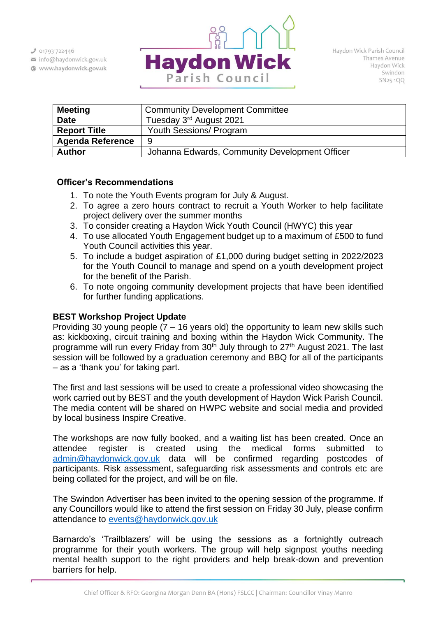$J$  01793 722446

info@haydonwick.gov.uk Www.haydonwick.gov.uk



| <b>Meeting</b>          | <b>Community Development Committee</b>         |  |  |  |  |
|-------------------------|------------------------------------------------|--|--|--|--|
| <b>Date</b>             | Tuesday 3 <sup>rd</sup> August 2021            |  |  |  |  |
| <b>Report Title</b>     | <b>Youth Sessions/ Program</b>                 |  |  |  |  |
| <b>Agenda Reference</b> | 9                                              |  |  |  |  |
| <b>Author</b>           | Johanna Edwards, Community Development Officer |  |  |  |  |

# **Officer's Recommendations**

- 1. To note the Youth Events program for July & August.
- 2. To agree a zero hours contract to recruit a Youth Worker to help facilitate project delivery over the summer months
- 3. To consider creating a Haydon Wick Youth Council (HWYC) this year
- 4. To use allocated Youth Engagement budget up to a maximum of £500 to fund Youth Council activities this year.
- 5. To include a budget aspiration of £1,000 during budget setting in 2022/2023 for the Youth Council to manage and spend on a youth development project for the benefit of the Parish.
- 6. To note ongoing community development projects that have been identified for further funding applications.

# **BEST Workshop Project Update**

Providing 30 young people  $(7 - 16$  years old) the opportunity to learn new skills such as: kickboxing, circuit training and boxing within the Haydon Wick Community. The programme will run every Friday from 30<sup>th</sup> July through to 27<sup>th</sup> August 2021. The last session will be followed by a graduation ceremony and BBQ for all of the participants – as a 'thank you' for taking part.

The first and last sessions will be used to create a professional video showcasing the work carried out by BEST and the youth development of Haydon Wick Parish Council. The media content will be shared on HWPC website and social media and provided by local business Inspire Creative.

The workshops are now fully booked, and a waiting list has been created. Once an attendee register is created using the medical forms submitted to [admin@haydonwick.gov.uk](mailto:admin@haydonwick.gov.uk) data will be confirmed regarding postcodes of participants. Risk assessment, safeguarding risk assessments and controls etc are being collated for the project, and will be on file.

The Swindon Advertiser has been invited to the opening session of the programme. If any Councillors would like to attend the first session on Friday 30 July, please confirm attendance to [events@haydonwick.gov.uk](mailto:events@haydonwick.gov.uk)

Barnardo's 'Trailblazers' will be using the sessions as a fortnightly outreach programme for their youth workers. The group will help signpost youths needing mental health support to the right providers and help break-down and prevention barriers for help.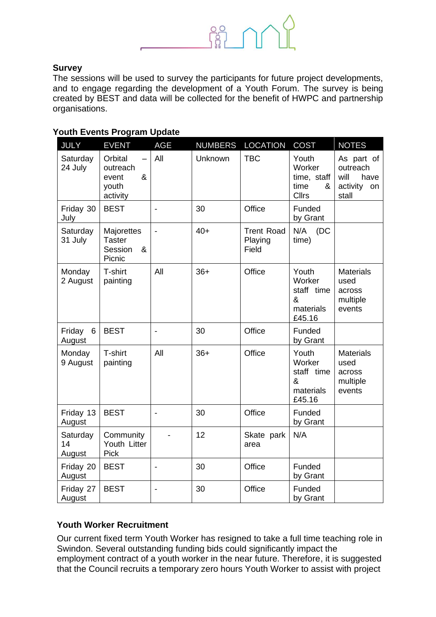

#### **Survey**

The sessions will be used to survey the participants for future project developments, and to engage regarding the development of a Youth Forum. The survey is being created by BEST and data will be collected for the benefit of HWPC and partnership organisations.

#### **Youth Events Program Update**

| <b>JULY</b>              | <b>EVENT</b>                                           | <b>AGE</b>                   | <b>NUMBERS</b> | <b>LOCATION</b>                       | <b>COST</b>                                                 | <b>NOTES</b>                                                   |
|--------------------------|--------------------------------------------------------|------------------------------|----------------|---------------------------------------|-------------------------------------------------------------|----------------------------------------------------------------|
| Saturday<br>24 July      | Orbital<br>outreach<br>&<br>event<br>youth<br>activity | All                          | Unknown        | <b>TBC</b>                            | Youth<br>Worker<br>time, staff<br>time<br>&<br><b>Cllrs</b> | As part of<br>outreach<br>will<br>have<br>activity on<br>stall |
| Friday 30<br>July        | <b>BEST</b>                                            | $\overline{\phantom{a}}$     | 30             | Office                                | Funded<br>by Grant                                          |                                                                |
| Saturday<br>31 July      | Majorettes<br><b>Taster</b><br>Session<br>&<br>Picnic  |                              | $40+$          | <b>Trent Road</b><br>Playing<br>Field | N/A<br>(DC)<br>time)                                        |                                                                |
| Monday<br>2 August       | T-shirt<br>painting                                    | All                          | $36+$          | Office                                | Youth<br>Worker<br>staff time<br>&<br>materials<br>£45.16   | <b>Materials</b><br>used<br>across<br>multiple<br>events       |
| Friday<br>6<br>August    | <b>BEST</b>                                            | $\blacksquare$               | 30             | Office                                | Funded<br>by Grant                                          |                                                                |
| Monday<br>9 August       | T-shirt<br>painting                                    | All                          | $36+$          | Office                                | Youth<br>Worker<br>staff time<br>&<br>materials<br>£45.16   | <b>Materials</b><br>used<br>across<br>multiple<br>events       |
| Friday 13<br>August      | <b>BEST</b>                                            | $\overline{\phantom{a}}$     | 30             | Office                                | Funded<br>by Grant                                          |                                                                |
| Saturday<br>14<br>August | Community<br>Youth Litter<br><b>Pick</b>               |                              | 12             | Skate park<br>area                    | N/A                                                         |                                                                |
| Friday 20<br>August      | <b>BEST</b>                                            | $\qquad \qquad \blacksquare$ | 30             | Office                                | Funded<br>by Grant                                          |                                                                |
| Friday 27<br>August      | <b>BEST</b>                                            | $\blacksquare$               | 30             | Office                                | Funded<br>by Grant                                          |                                                                |

#### **Youth Worker Recruitment**

Our current fixed term Youth Worker has resigned to take a full time teaching role in Swindon. Several outstanding funding bids could significantly impact the employment contract of a youth worker in the near future. Therefore, it is suggested that the Council recruits a temporary zero hours Youth Worker to assist with project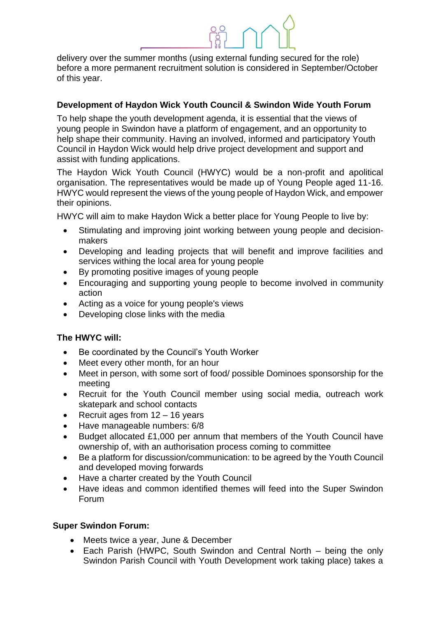delivery over the summer months (using external funding secured for the role) before a more permanent recruitment solution is considered in September/October of this year.

# **Development of Haydon Wick Youth Council & Swindon Wide Youth Forum**

To help shape the youth development agenda, it is essential that the views of young people in Swindon have a platform of engagement, and an opportunity to help shape their community. Having an involved, informed and participatory Youth Council in Haydon Wick would help drive project development and support and assist with funding applications.

The Haydon Wick Youth Council (HWYC) would be a non-profit and apolitical organisation. The representatives would be made up of Young People aged 11-16. HWYC would represent the views of the young people of Haydon Wick, and empower their opinions.

HWYC will aim to make Haydon Wick a better place for Young People to live by:

- Stimulating and improving joint working between young people and decisionmakers
- Developing and leading projects that will benefit and improve facilities and services withing the local area for young people
- By promoting positive images of young people
- Encouraging and supporting young people to become involved in community action
- Acting as a voice for young people's views
- Developing close links with the media

# **The HWYC will:**

- Be coordinated by the Council's Youth Worker
- Meet every other month, for an hour
- Meet in person, with some sort of food/ possible Dominoes sponsorship for the meeting
- Recruit for the Youth Council member using social media, outreach work skatepark and school contacts
- Recruit ages from  $12 16$  years
- Have manageable numbers: 6/8
- Budget allocated £1,000 per annum that members of the Youth Council have ownership of, with an authorisation process coming to committee
- Be a platform for discussion/communication: to be agreed by the Youth Council and developed moving forwards
- Have a charter created by the Youth Council
- Have ideas and common identified themes will feed into the Super Swindon Forum

# **Super Swindon Forum:**

- Meets twice a year, June & December
- Each Parish (HWPC, South Swindon and Central North being the only Swindon Parish Council with Youth Development work taking place) takes a